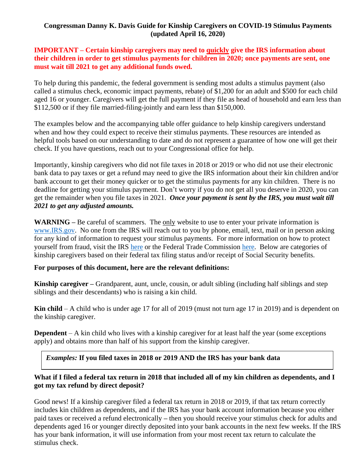## **Congressman Danny K. Davis Guide for Kinship Caregivers on COVID-19 Stimulus Payments (updated April 16, 2020)**

### **IMPORTANT – Certain kinship caregivers may need to quickly give the IRS information about their children in order to get stimulus payments for children in 2020; once payments are sent, one must wait till 2021 to get any additional funds owed.**

To help during this pandemic, the federal government is sending most adults a stimulus payment (also called a stimulus check, economic impact payments, rebate) of \$1,200 for an adult and \$500 for each child aged 16 or younger. Caregivers will get the full payment if they file as head of household and earn less than \$112,500 or if they file married-filing-jointly and earn less than \$150,000.

The examples below and the accompanying table offer guidance to help kinship caregivers understand when and how they could expect to receive their stimulus payments. These resources are intended as helpful tools based on our understanding to date and do not represent a guarantee of how one will get their check. If you have questions, reach out to your Congressional office for help.

Importantly, kinship caregivers who did not file taxes in 2018 or 2019 or who did not use their electronic bank data to pay taxes or get a refund may need to give the IRS information about their kin children and/or bank account to get their money quicker or to get the stimulus payments for any kin children. There is no deadline for getting your stimulus payment. Don't worry if you do not get all you deserve in 2020, you can get the remainder when you file taxes in 2021. *Once your payment is sent by the IRS, you must wait till 2021 to get any adjusted amounts.*

**WARNING –** Be careful of scammers. The only website to use to enter your private information is [www.IRS.gov.](http://www.irs.gov/) No one from the IRS will reach out to you by phone, email, text, mail or in person asking for any kind of information to request your stimulus payments. For more information on how to protect yourself from fraud, visit the IRS [here](https://www.irs.gov/newsroom/irs-issues-warning-about-coronavirus-related-scams-watch-out-for-schemes-tied-to-economic-impact-payments) or the Federal Trade Commission [here.](https://www.consumer.ftc.gov/blog/2020/04/want-get-your-coronavirus-relief-check-scammers-do-too) Below are categories of kinship caregivers based on their federal tax filing status and/or receipt of Social Security benefits.

#### **For purposes of this document, here are the relevant definitions:**

**Kinship caregiver –** Grandparent, aunt, uncle, cousin, or adult sibling (including half siblings and step siblings and their descendants) who is raising a kin child.

**Kin child** – A child who is under age 17 for all of 2019 (must not turn age 17 in 2019) and is dependent on the kinship caregiver.

**Dependent** – A kin child who lives with a kinship caregiver for at least half the year (some exceptions) apply) and obtains more than half of his support from the kinship caregiver.

*Examples:* **If you filed taxes in 2018 or 2019 AND the IRS has your bank data**

# What if I filed a federal tax return in 2018 that included all of my kin children as dependents, and I **got my tax refund by direct deposit?**

Good news! If a kinship caregiver filed a federal tax return in 2018 or 2019, if that tax return correctly includes kin children as dependents, and if the IRS has your bank account information because you either paid taxes or received a refund electronically **–** then you should receive your stimulus check for adults and dependents aged 16 or younger directly deposited into your bank accounts in the next few weeks. If the IRS has your bank information, it will use information from your most recent tax return to calculate the stimulus check.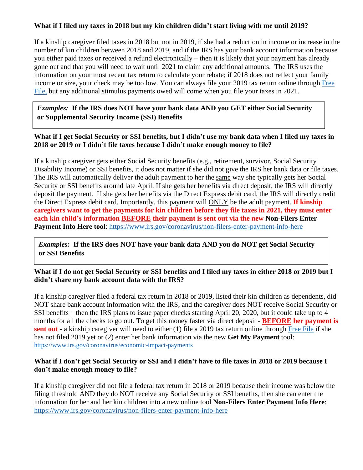# What if I filed my taxes in 2018 but my kin children didn't start living with me until 2019?

If a kinship caregiver filed taxes in 2018 but not in 2019, if she had a reduction in income or increase in the number of kin children between 2018 and 2019, and if the IRS has your bank account information because you either paid taxes or received a refund electronically – then it is likely that your payment has already gone out and that you will need to wait until 2021 to claim any additional amounts. The IRS uses the information on your most recent tax return to calculate your rebate; if 2018 does not reflect your family income or size, your check may be too low. You can always file your 2019 tax return online through [Free](https://www.irs.gov/filing/free-file-do-your-federal-taxes-for-free) [File,](https://www.irs.gov/filing/free-file-do-your-federal-taxes-for-free) but any additional stimulus payments owed will come when you file your taxes in 2021.

*Examples:* **If the IRS does NOT have your bank data AND you GET either Social Security or Supplemental Security Income (SSI) Benefits**

What if I get Social Security or SSI benefits, but I didn't use my bank data when I filed my taxes in **2018 or 2019 or I didn't file taxes because I didn't make enough money to file?**

If a kinship caregiver gets either Social Security benefits (e.g., retirement, survivor, Social Security Disability Income) or SSI benefits, it does not matter if she did not give the IRS her bank data or file taxes. The IRS will automatically deliver the adult payment to her the same way she typically gets her Social Security or SSI benefits around late April. If she gets her benefits via direct deposit, the IRS will directly deposit the payment. If she gets her benefits via the Direct Express debit card, the IRS will directly credit the Direct Express debit card. Importantly, this payment will ONLY be the adult payment. **If kinship** caregivers want to get the payments for kin children before they file taxes in 2021, they must enter **each kin child's information BEFORE their payment is sent out via the new Non-Filers Enter Payment Info Here tool**: <https://www.irs.gov/coronavirus/non-filers-enter-payment-info-here>

*Examples:* **If the IRS does NOT have your bank data AND you do NOT get Social Security or SSI Benefits**

What if I do not get Social Security or SSI benefits and I filed my taxes in either 2018 or 2019 but I **didn't share my bank account data with the IRS?**

If a kinship caregiver filed a federal tax return in 2018 or 2019, listed their kin children as dependents, did NOT share bank account information with the IRS, and the caregiver does NOT receive Social Security or SSI benefits – then the IRS plans to issue paper checks starting April 20, 2020, but it could take up to 4 months for all the checks to go out. To get this money faster via direct deposit - **BEFORE her payment is sent out** - a kinship caregiver will need to either (1) file a 2019 tax return online through [Free](https://www.irs.gov/filing/free-file-do-your-federal-taxes-for-free) File if she has not filed 2019 yet or (2) enter her bank information via the new **Get My Payment** tool: <https://www.irs.gov/coronavirus/economic-impact-payments>

#### What if I don't get Social Security or SSI and I didn't have to file taxes in 2018 or 2019 because I **don't make enough money to file?**

If a kinship caregiver did not file a federal tax return in 2018 or 2019 because their income was below the filing threshold AND they do NOT receive any Social Security or SSI benefits, then she can enter the information for her and her kin children into a new online tool **Non-Filers Enter Payment Info Here**: <https://www.irs.gov/coronavirus/non-filers-enter-payment-info-here>